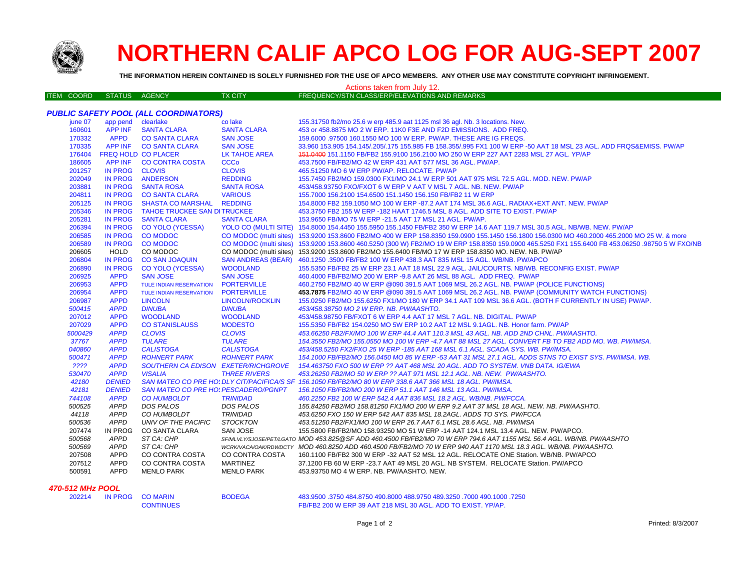

*PUBLIC SAFETY POOL (ALL COORDINATORS)*

# **NORTHERN CALIF APCO LOG FOR AUG-SEPT 2007**

**THE INFORMATION HEREIN CONTAINED IS SOLELY FURNISHED FOR THE USE OF APCO MEMBERS. ANY OTHER USE MAY CONSTITUTE COPYRIGHT INFRINGEMENT.**

## Actions taken from July 12.

| ITEM COORD | STATUS AGENCY |  | <b>TX CITY</b> | FREQUENCY/STN CLASS/ERP/ELEVATIONS AND REMARKS ! |
|------------|---------------|--|----------------|--------------------------------------------------|
|------------|---------------|--|----------------|--------------------------------------------------|

| june 07 | app pend clearlake |                                             | co lake                   | 155.31750 fb2/mo 25.6 w erp 485.9 aat 1125 msl 36 agl. Nb. 3 locations. New.                                                                     |
|---------|--------------------|---------------------------------------------|---------------------------|--------------------------------------------------------------------------------------------------------------------------------------------------|
| 160601  | <b>APP INF</b>     | <b>SANTA CLARA</b>                          | <b>SANTA CLARA</b>        | 453 or 458,8875 MO 2 W ERP, 11K0 F3E AND F2D EMISSIONS. ADD FREQ.                                                                                |
| 170332  | <b>APPD</b>        | <b>CO SANTA CLARA</b>                       | <b>SAN JOSE</b>           | 159,6000 .97500 160,1550 MO 100 W ERP. PW/AP. THESE ARE IG FREQS.                                                                                |
| 170335  | APP INF            | <b>CO SANTA CLARA</b>                       | <b>SAN JOSE</b>           | 33.960 153.905 154.145/.205/.175 155.985 FB 158.355/.995 FX1 100 W ERP -50 AAT 18 MSL 23 AGL. ADD FRQS&EMISS. PW/AP                              |
| 176404  |                    | FREQ HOLD CO PLACER                         | <b>LK TAHOE AREA</b>      | 451.0400 151.1150 FB/FB2 155.9100 156.2100 MO 250 W ERP 227 AAT 2283 MSL 27 AGL. YP/AP                                                           |
| 186605  | APP INF            | <b>CO CONTRA COSTA</b>                      | <b>CCCo</b>               | 453.7500 FB/FB2/MO 42 W ERP 431 AAT 577 MSL 36 AGL. PW/AP.                                                                                       |
| 201257  | <b>IN PROG</b>     | <b>CLOVIS</b>                               | <b>CLOVIS</b>             | 465.51250 MO 6 W ERP PW/AP, RELOCATE, PW/AP                                                                                                      |
| 202049  | <b>IN PROG</b>     | <b>ANDERSON</b>                             | <b>REDDING</b>            | 155.7450 FB2/MO 159.0300 FX1/MO 24.1 W ERP 501 AAT 975 MSL 72.5 AGL. MOD. NEW. PW/AP                                                             |
| 203881  | <b>IN PROG</b>     | <b>SANTA ROSA</b>                           | <b>SANTA ROSA</b>         | 453/458.93750 FXO/FXOT 6 W ERP V AAT V MSL 7 AGL. NB. NEW. PW/AP                                                                                 |
| 204811  | <b>IN PROG</b>     | <b>CO SANTA CLARA</b>                       | <b>VARIOUS</b>            | 155.7000 156.2100 154.6500 151.1450 156.150 FB/FB2 11 W ERP                                                                                      |
| 205125  | <b>IN PROG</b>     | <b>SHASTA CO MARSHAL</b>                    | <b>REDDING</b>            | 154,8000 FB2 159,1050 MO 100 W ERP -87.2 AAT 174 MSL 36.6 AGL. RADIAX+EXT ANT. NEW. PW/AP                                                        |
| 205346  | <b>IN PROG</b>     | <b>TAHOE TRUCKEE SAN DITRUCKEE</b>          |                           | 453.3750 FB2 155 W ERP -182 HAAT 1746.5 MSL 8 AGL. ADD SITE TO EXIST. PW/AP                                                                      |
| 205281  | <b>IN PROG</b>     | <b>SANTA CLARA</b>                          | <b>SANTA CLARA</b>        | 153.9650 FB/MO 75 W ERP -21.5 AAT 17 MSL 21 AGL. PW/AP.                                                                                          |
| 206394  | <b>IN PROG</b>     | <b>CO YOLO (YCESSA)</b>                     |                           | YOLO CO (MULTI SITE) 154.8000 154.4450 155.5950 155.1450 FB/FB2 350 W ERP 14.6 AAT 119.7 MSL 30.5 AGL. NB/WB. NEW. PW/AP                         |
| 206585  | <b>IN PROG</b>     | <b>CO MODOC</b>                             |                           | CO MODOC (multi sites) 153.9200 153.8600 FB2/MO 400 W ERP 158.8350 159.0900 155.1450 156.1800 156.0300 MO 460.2000 465.2000 MO 25 W. & more      |
| 206589  | <b>IN PROG</b>     | <b>CO MODOC</b>                             |                           | CO MODOC (multi sites) 153.9200 153.8600 460.5250 (300 W) FB2/MO 19 W ERP 158.8350 159.0900 465.5250 FX1 155.6400 FB 453.06250 .98750 5 W FXO/NB |
| 206605  | <b>HOLD</b>        | CO MODOC                                    |                           | CO MODOC (multi sites) 153.9200 153.8600 FB2/MO 155.6400 FB/MO 17 W ERP 158.8350 MO. NEW. NB. PW/AP                                              |
| 206804  | <b>IN PROG</b>     | <b>CO SAN JOAQUIN</b>                       | <b>SAN ANDREAS (BEAR)</b> | 460.1250.3500 FB/FB2 100 W ERP 438.3 AAT 835 MSL 15 AGL. WB/NB. PW/APCO                                                                          |
| 206890  | <b>IN PROG</b>     | <b>CO YOLO (YCESSA)</b>                     | <b>WOODLAND</b>           | 155.5350 FB/FB2 25 W ERP 23.1 AAT 18 MSL 22.9 AGL. JAIL/COURTS, NB/WB, RECONFIG EXIST, PW/AP                                                     |
| 206925  | <b>APPD</b>        | <b>SAN JOSE</b>                             | <b>SAN JOSE</b>           | 460.4000 FB/FB2/MO 200 W ERP -9.8 AAT 26 MSL 88 AGL. ADD FREQ. PW/AP                                                                             |
| 206953  | <b>APPD</b>        | <b>TULE INDIAN RESERVATION</b>              | <b>PORTERVILLE</b>        | 460.2750 FB2/MO 40 W ERP @090 391.5 AAT 1069 MSL 26.2 AGL. NB. PW/AP (POLICE FUNCTIONS)                                                          |
| 206954  | <b>APPD</b>        | <b>TULE INDIAN RESERVATION</b>              | <b>PORTERVILLE</b>        | 453.7875 FB2/MO 40 W ERP @090 391.5 AAT 1069 MSL 26.2 AGL. NB. PW/AP (COMMUNITY WATCH FUNCTIONS)                                                 |
| 206987  | <b>APPD</b>        | <b>LINCOLN</b>                              | LINCOLN/ROCKLIN           | 155.0250 FB2/MO 155.6250 FX1/MO 180 W ERP 34.1 AAT 109 MSL 36.6 AGL. (BOTH F CURRENTLY IN USE) PW/AP.                                            |
| 500415  | <b>APPD</b>        | <b>DINUBA</b>                               | <b>DINUBA</b>             | 453/458.38750 MO 2 W ERP. NB. PW/AASHTO.                                                                                                         |
| 207012  | <b>APPD</b>        | <b>WOODLAND</b>                             | <b>WOODLAND</b>           | 453/458.98750 FB/FXOT 6 W ERP 4.4 AAT 17 MSL 7 AGL. NB. DIGITAL. PW/AP                                                                           |
| 207029  | <b>APPD</b>        | <b>CO STANISLAUSS</b>                       | <b>MODESTO</b>            | 155,5350 FB/FB2 154,0250 MO 5W ERP 10.2 AAT 12 MSL 9,1AGL, NB, Honor farm, PW/AP                                                                 |
| 5000429 | <b>APPD</b>        | <b>CLOVIS</b>                               | <b>CLOVIS</b>             | 453.66250 FB2/FX/MO 100 W ERP 44.4 AAT 110.3 MSL 43 AGL. NB. ADD 2ND CHNL. PW/AASHTO.                                                            |
| 37767   | <b>APPD</b>        | <b>TULARE</b>                               | <b>TULARE</b>             | 154.3550 FB2/MO 155.0550 MO 100 W ERP -4.7 AAT 88 MSL 27 AGL. CONVERT FB TO FB2 ADD MO. WB. PW/IMSA.                                             |
| 040860  | <b>APPD</b>        | <b>CALISTOGA</b>                            | <b>CALISTOGA</b>          | 453/458.5250 FX2/FXO 25 W ERP -185 AAT 168 MSL 6.1 AGL. SCADA SYS. WB. PW/IMSA.                                                                  |
| 500471  | <b>APPD</b>        | <b>ROHNERT PARK</b>                         | <b>ROHNERT PARK</b>       | 154.1000 FB/FB2/MO 156.0450 MO 85 W ERP -53 AAT 31 MSL 27.1 AGL. ADDS STNS TO EXIST SYS. PW/IMSA. WB.                                            |
| ????    | <b>APPD</b>        | <b>SOUTHERN CA EDISON EXETER/RICHGROVE</b>  |                           | 154.463750 FXO 500 W ERP ?? AAT 468 MSL 20 AGL. ADD TO SYSTEM. VNB DATA. IG/EWA                                                                  |
| 530470  | <b>APPD</b>        | <b>VISALIA</b>                              | <b>THREE RIVERS</b>       | 453.26250 FB2/MO 50 W ERP ?? AAT 971 MSL 12.1 AGL. NB. NEW. PW/AASHTO.                                                                           |
| 42180   | <b>DENIED</b>      |                                             |                           | SAN MATEO CO PRE HO: DLY CIT/PACIFICA/S SF 156.1050 FB/FB2/MO 80 W ERP 338.6 AAT 366 MSL 18 AGL. PW/IMSA.                                        |
| 42181   | <b>DENIED</b>      | <b>SAN MATEO CO PRE HO: PESCADERO/PGNPT</b> |                           | 156.1050 FB/FB2/MO 200 W ERP 51.1 AAT 146 MSL 13 AGL. PW/IMSA.                                                                                   |
| 744108  | <b>APPD</b>        | <b>CO HUMBOLDT</b>                          | <b>TRINIDAD</b>           | 460.2250 FB2 100 W ERP 542.4 AAT 836 MSL 18.2 AGL, WB/NB, PW/FCCA,                                                                               |
| 500525  | <b>APPD</b>        | DOS PALOS                                   | DOS PALOS                 | 155.84250 FB2/MO 158.81250 FX1/MO 200 W ERP 9.2 AAT 37 MSL 18 AGL. NEW. NB. PW/AASHTO.                                                           |
| 44118   | APPD               | CO HUMBOLDT                                 | <b>TRINIDAD</b>           | 453.6250 FXO 150 W ERP 542 AAT 835 MSL 18.2AGL. ADDS TO SYS. PW/FCCA                                                                             |
| 500536  | <b>APPD</b>        | UNIV OF THE PACIFIC                         | <b>STOCKTON</b>           | 453.51250 FB2/FX1/MO 100 W ERP 26.7 AAT 6.1 MSL 28.6 AGL. NB. PW/IMSA                                                                            |
| 207474  | IN PROG            | CO SANTA CLARA                              | SAN JOSE                  | 155.5800 FB/FB2/MO 158.93250 MO 51 W ERP -14 AAT 124.1 MSL 13.4 AGL. NEW. PW/APCO.                                                               |
| 500568  | APPD               | ST CA: CHP                                  |                           | SF/MLVLY/SJOSE/PET/LGATO MOD 453.825@SF ADD 460.4500 FB/FB2/MO 70 W ERP 794.6 AAT 1155 MSL 56.4 AGL. WB/NB. PW/AASHTO                            |
| 500569  | <b>APPD</b>        | ST CA: CHP                                  |                           | WCRKVACA/OAK/RDWDCTY MOD 460.8250 ADD 460.4500 FB/FB2/MO 70 W ERP 940 AAT 1170 MSL 18.3 AGL. WB/NB. PW/AASHTO.                                   |
| 207508  | <b>APPD</b>        | CO CONTRA COSTA                             | CO CONTRA COSTA           | 160.1100 FB/FB2 300 W ERP -32 AAT 52 MSL 12 AGL. RELOCATE ONE Station. WB/NB. PW/APCO                                                            |
| 207512  | <b>APPD</b>        | CO CONTRA COSTA                             | <b>MARTINEZ</b>           | 37.1200 FB 60 W ERP -23.7 AAT 49 MSL 20 AGL. NB SYSTEM. RELOCATE Station. PW/APCO                                                                |
| 500591  | <b>APPD</b>        | MENLO PARK                                  | MENLO PARK                | 453.93750 MO 4 W ERP. NB. PW/AASHTO. NEW.                                                                                                        |
|         |                    |                                             |                           |                                                                                                                                                  |
|         |                    |                                             |                           |                                                                                                                                                  |

### *470-512 MHz POOL*

202214 IN PROG COMARIN

 IN PROG CO MARIN BODEGA 483.9500 .3750 484.8750 490.8000 488.9750 489.3250 .7000 490.1000 .7250CONTINUES FB/FB2 200 W ERP 39 AAT 218 MSL 30 AGL. ADD TO EXIST. YP/AP.